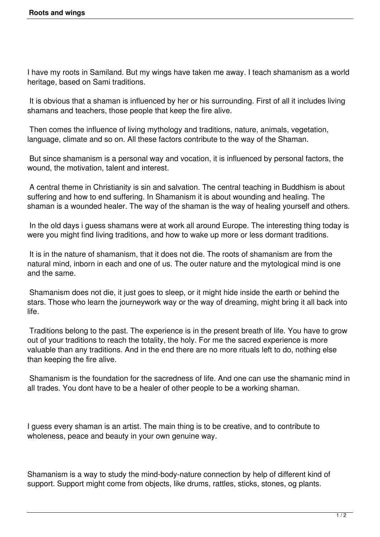I have my roots in Samiland. But my wings have taken me away. I teach shamanism as a world heritage, based on Sami traditions.

 It is obvious that a shaman is influenced by her or his surrounding. First of all it includes living shamans and teachers, those people that keep the fire alive.

 Then comes the influence of living mythology and traditions, nature, animals, vegetation, language, climate and so on. All these factors contribute to the way of the Shaman.

 But since shamanism is a personal way and vocation, it is influenced by personal factors, the wound, the motivation, talent and interest.

 A central theme in Christianity is sin and salvation. The central teaching in Buddhism is about suffering and how to end suffering. In Shamanism it is about wounding and healing. The shaman is a wounded healer. The way of the shaman is the way of healing yourself and others.

 In the old days i guess shamans were at work all around Europe. The interesting thing today is were you might find living traditions, and how to wake up more or less dormant traditions.

 It is in the nature of shamanism, that it does not die. The roots of shamanism are from the natural mind, inborn in each and one of us. The outer nature and the mytological mind is one and the same.

 Shamanism does not die, it just goes to sleep, or it might hide inside the earth or behind the stars. Those who learn the journeywork way or the way of dreaming, might bring it all back into life.

 Traditions belong to the past. The experience is in the present breath of life. You have to grow out of your traditions to reach the totality, the holy. For me the sacred experience is more valuable than any traditions. And in the end there are no more rituals left to do, nothing else than keeping the fire alive.

 Shamanism is the foundation for the sacredness of life. And one can use the shamanic mind in all trades. You dont have to be a healer of other people to be a working shaman.

I guess every shaman is an artist. The main thing is to be creative, and to contribute to wholeness, peace and beauty in your own genuine way.

Shamanism is a way to study the mind-body-nature connection by help of different kind of support. Support might come from objects, like drums, rattles, sticks, stones, og plants.